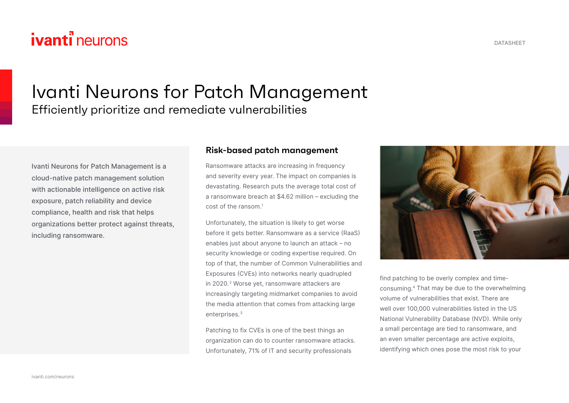# **ivanti** neurons

## Ivanti Neurons for Patch Management Efficiently prioritize and remediate vulnerabilities

Ivanti Neurons for Patch Management is a cloud-native patch management solution with actionable intelligence on active risk exposure, patch reliability and device compliance, health and risk that helps organizations better protect against threats, including ransomware.

#### **Risk-based patch management**

Ransomware attacks are increasing in frequency and severity every year. The impact on companies is devastating. Research puts the average total cost of a ransomware breach at \$4.62 million – excluding the cost of the ransom.1

Unfortunately, the situation is likely to get worse before it gets better. Ransomware as a service (RaaS) enables just about anyone to launch an attack – no security knowledge or coding expertise required. On top of that, the number of Common Vulnerabilities and Exposures (CVEs) into networks nearly quadrupled in 2020.<sup>2</sup> Worse yet, ransomware attackers are increasingly targeting midmarket companies to avoid the media attention that comes from attacking large enterprises.3

Patching to fix CVEs is one of the best things an organization can do to counter ransomware attacks. Unfortunately, 71% of IT and security professionals



consuming.4 That may be due to the overwhelming volume of vulnerabilities that exist. There are well over 100,000 vulnerabilities listed in the US National Vulnerability Database (NVD). While only a small percentage are tied to ransomware, and an even smaller percentage are active exploits, identifying which ones pose the most risk to your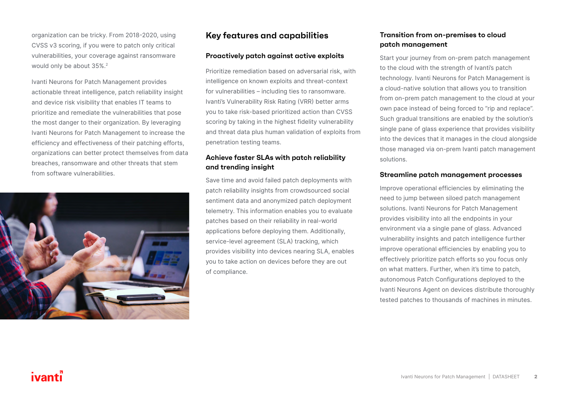organization can be tricky. From 2018-2020, using CVSS v3 scoring, if you were to patch only critical vulnerabilities, your coverage against ransomware would only be about 35%.<sup>2</sup>

Ivanti Neurons for Patch Management provides actionable threat intelligence, patch reliability insight and device risk visibility that enables IT teams to prioritize and remediate the vulnerabilities that pose the most danger to their organization. By leveraging Ivanti Neurons for Patch Management to increase the efficiency and effectiveness of their patching efforts, organizations can better protect themselves from data breaches, ransomware and other threats that stem from software vulnerabilities.



### **Key features and capabilities**

#### **Proactively patch against active exploits**

Prioritize remediation based on adversarial risk, with intelligence on known exploits and threat-context for vulnerabilities – including ties to ransomware. Ivanti's Vulnerability Risk Rating (VRR) better arms you to take risk-based prioritized action than CVSS scoring by taking in the highest fidelity vulnerability and threat data plus human validation of exploits from penetration testing teams.

#### **Achieve faster SLAs with patch reliability and trending insight**

Save time and avoid failed patch deployments with patch reliability insights from crowdsourced social sentiment data and anonymized patch deployment telemetry. This information enables you to evaluate patches based on their reliability in real-world applications before deploying them. Additionally, service-level agreement (SLA) tracking, which provides visibility into devices nearing SLA, enables you to take action on devices before they are out of compliance.

#### **Transition from on-premises to cloud patch management**

Start your journey from on-prem patch management to the cloud with the strength of Ivanti's patch technology. Ivanti Neurons for Patch Management is a cloud-native solution that allows you to transition from on-prem patch management to the cloud at your own pace instead of being forced to "rip and replace". Such gradual transitions are enabled by the solution's single pane of glass experience that provides visibility into the devices that it manages in the cloud alongside those managed via on-prem Ivanti patch management solutions.

#### **Streamline patch management processes**

Improve operational efficiencies by eliminating the need to jump between siloed patch management solutions. Ivanti Neurons for Patch Management provides visibility into all the endpoints in your environment via a single pane of glass. Advanced vulnerability insights and patch intelligence further improve operational efficiencies by enabling you to effectively prioritize patch efforts so you focus only on what matters. Further, when it's time to patch, autonomous Patch Configurations deployed to the Ivanti Neurons Agent on devices distribute thoroughly tested patches to thousands of machines in minutes.

### ivanti